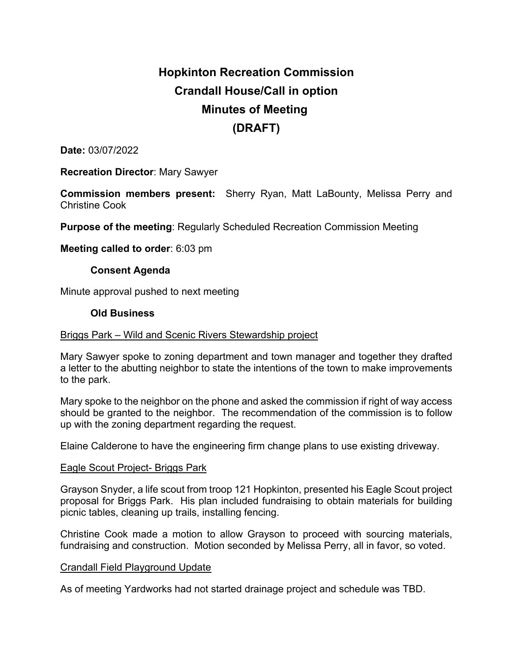# **Hopkinton Recreation Commission Crandall House/Call in option Minutes of Meeting (DRAFT)**

**Date:** 03/07/2022

**Recreation Director**: Mary Sawyer

**Commission members present:** Sherry Ryan, Matt LaBounty, Melissa Perry and Christine Cook

**Purpose of the meeting**: Regularly Scheduled Recreation Commission Meeting

**Meeting called to order**: 6:03 pm

# **Consent Agenda**

Minute approval pushed to next meeting

## **Old Business**

## Briggs Park – Wild and Scenic Rivers Stewardship project

Mary Sawyer spoke to zoning department and town manager and together they drafted a letter to the abutting neighbor to state the intentions of the town to make improvements to the park.

Mary spoke to the neighbor on the phone and asked the commission if right of way access should be granted to the neighbor. The recommendation of the commission is to follow up with the zoning department regarding the request.

Elaine Calderone to have the engineering firm change plans to use existing driveway.

#### Eagle Scout Project- Briggs Park

Grayson Snyder, a life scout from troop 121 Hopkinton, presented his Eagle Scout project proposal for Briggs Park. His plan included fundraising to obtain materials for building picnic tables, cleaning up trails, installing fencing.

Christine Cook made a motion to allow Grayson to proceed with sourcing materials, fundraising and construction. Motion seconded by Melissa Perry, all in favor, so voted.

#### Crandall Field Playground Update

As of meeting Yardworks had not started drainage project and schedule was TBD.